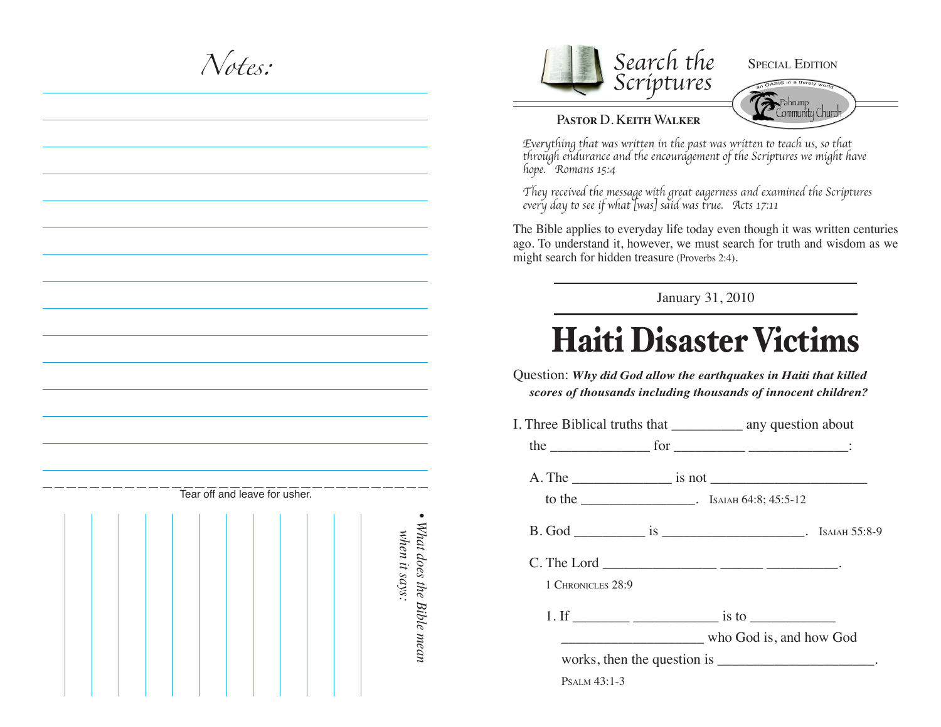*Notes:*



## SPECIAL EDITION



## P**astor** D. K**eith** W**alker**

*Everything that was written in the past was written to teach us, so that through endurance and the encouragement of the Scriptures we might have hope. Romans 15:4*

*They received the message with great eagerness and examined the Scriptures every day to see if what [was] said was true. Acts 17:11*

The Bible applies to everyday life today even though it was written centuries ago. To understand it, however, we must search for truth and wisdom as we might search for hidden treasure (Proverbs 2:4).

January 31, 2010

## Haiti Disaster Victims

Question: *Why did God allow the earthquakes in Haiti that killed scores of thousands including thousands of innocent children?*

| 1 CHRONICLES 28:9   |                                                      |
|---------------------|------------------------------------------------------|
|                     |                                                      |
|                     | who God is, and how God                              |
|                     | works, then the question is _______________________. |
| <b>PSALM 43:1-3</b> |                                                      |

|  |  |  | Tear off and leave for usher. |  |  |               |  |
|--|--|--|-------------------------------|--|--|---------------|--|
|  |  |  |                               |  |  | when it says: |  |

•

*What does the Bible mean*